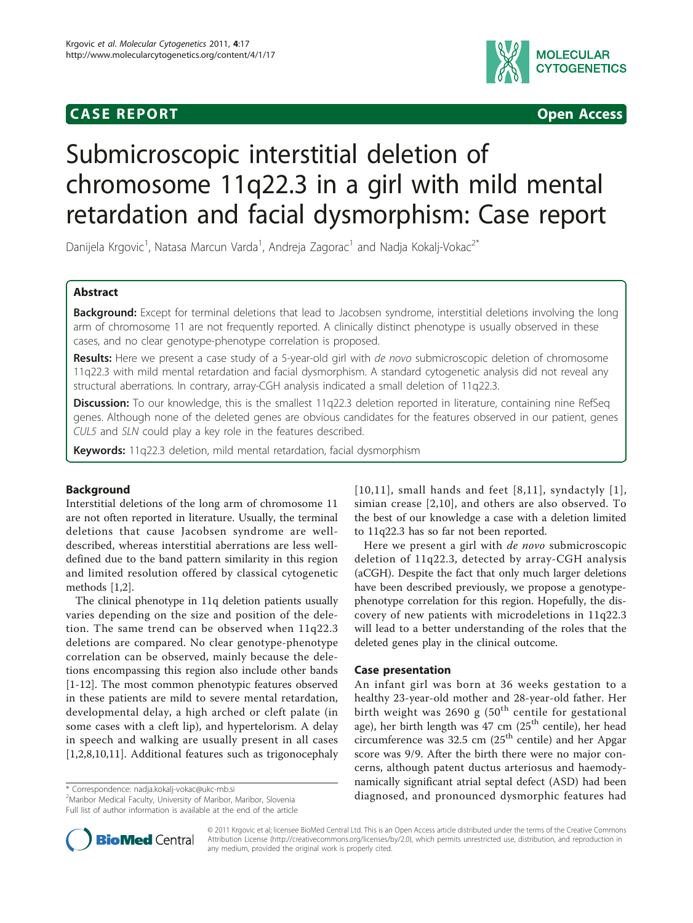# **CASE REPORT CASE REPORT**



# Submicroscopic interstitial deletion of chromosome 11q22.3 in a girl with mild mental retardation and facial dysmorphism: Case report

Danijela Krgovic<sup>1</sup>, Natasa Marcun Varda<sup>1</sup>, Andreja Zagorac<sup>1</sup> and Nadja Kokalj-Vokac<sup>2\*</sup>

# Abstract

Background: Except for terminal deletions that lead to Jacobsen syndrome, interstitial deletions involving the long arm of chromosome 11 are not frequently reported. A clinically distinct phenotype is usually observed in these cases, and no clear genotype-phenotype correlation is proposed.

Results: Here we present a case study of a 5-year-old girl with de novo submicroscopic deletion of chromosome 11q22.3 with mild mental retardation and facial dysmorphism. A standard cytogenetic analysis did not reveal any structural aberrations. In contrary, array-CGH analysis indicated a small deletion of 11q22.3.

Discussion: To our knowledge, this is the smallest 11q22.3 deletion reported in literature, containing nine RefSeq genes. Although none of the deleted genes are obvious candidates for the features observed in our patient, genes CUL5 and SLN could play a key role in the features described.

Keywords: 11q22.3 deletion, mild mental retardation, facial dysmorphism

# Background

Interstitial deletions of the long arm of chromosome 11 are not often reported in literature. Usually, the terminal deletions that cause Jacobsen syndrome are welldescribed, whereas interstitial aberrations are less welldefined due to the band pattern similarity in this region and limited resolution offered by classical cytogenetic methods [\[1,2\]](#page-4-0).

The clinical phenotype in 11q deletion patients usually varies depending on the size and position of the deletion. The same trend can be observed when 11q22.3 deletions are compared. No clear genotype-phenotype correlation can be observed, mainly because the deletions encompassing this region also include other bands [[1-12](#page-4-0)]. The most common phenotypic features observed in these patients are mild to severe mental retardation, developmental delay, a high arched or cleft palate (in some cases with a cleft lip), and hypertelorism. A delay in speech and walking are usually present in all cases [[1,2,8,10](#page-4-0),[11\]](#page-4-0). Additional features such as trigonocephaly

2 Maribor Medical Faculty, University of Maribor, Maribor, Slovenia Full list of author information is available at the end of the article  $[10,11]$  $[10,11]$  $[10,11]$  $[10,11]$  $[10,11]$ , small hands and feet  $[8,11]$  $[8,11]$  $[8,11]$ , syndactyly  $[1]$  $[1]$ , simian crease [[2,10](#page-4-0)], and others are also observed. To the best of our knowledge a case with a deletion limited to 11q22.3 has so far not been reported.

Here we present a girl with *de novo* submicroscopic deletion of 11q22.3, detected by array-CGH analysis (aCGH). Despite the fact that only much larger deletions have been described previously, we propose a genotypephenotype correlation for this region. Hopefully, the discovery of new patients with microdeletions in 11q22.3 will lead to a better understanding of the roles that the deleted genes play in the clinical outcome.

# Case presentation

An infant girl was born at 36 weeks gestation to a healthy 23-year-old mother and 28-year-old father. Her birth weight was 2690 g  $(50<sup>th</sup>$  centile for gestational age), her birth length was 47 cm  $(25<sup>th</sup>$  centile), her head circumference was 32.5 cm  $(25<sup>th</sup>$  centile) and her Apgar score was 9/9. After the birth there were no major concerns, although patent ductus arteriosus and haemodynamically significant atrial septal defect (ASD) had been \* Correspondence: [nadja.kokalj-vokac@ukc-mb.si](mailto:nadja.kokalj-vokac@ukc-mb.si)<br><sup>2</sup>Maribor Medical Faculty University of Maribor Maribor Slovenia **diagnosed, and pronounced dysmorphic features had** 



© 2011 Krgovic et al; licensee BioMed Central Ltd. This is an Open Access article distributed under the terms of the Creative Commons Attribution License [\(http://creativecommons.org/licenses/by/2.0](http://creativecommons.org/licenses/by/2.0)), which permits unrestricted use, distribution, and reproduction in any medium, provided the original work is properly cited.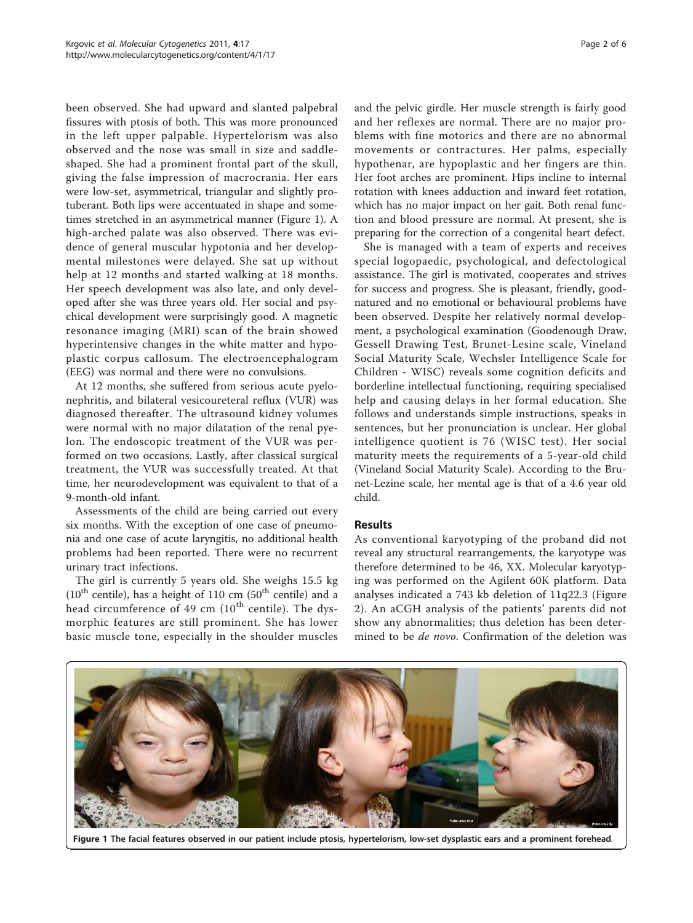<span id="page-1-0"></span>been observed. She had upward and slanted palpebral fissures with ptosis of both. This was more pronounced in the left upper palpable. Hypertelorism was also observed and the nose was small in size and saddleshaped. She had a prominent frontal part of the skull, giving the false impression of macrocrania. Her ears were low-set, asymmetrical, triangular and slightly protuberant. Both lips were accentuated in shape and sometimes stretched in an asymmetrical manner (Figure 1). A high-arched palate was also observed. There was evidence of general muscular hypotonia and her developmental milestones were delayed. She sat up without help at 12 months and started walking at 18 months. Her speech development was also late, and only developed after she was three years old. Her social and psychical development were surprisingly good. A magnetic resonance imaging (MRI) scan of the brain showed hyperintensive changes in the white matter and hypoplastic corpus callosum. The electroencephalogram (EEG) was normal and there were no convulsions.

At 12 months, she suffered from serious acute pyelonephritis, and bilateral vesicoureteral reflux (VUR) was diagnosed thereafter. The ultrasound kidney volumes were normal with no major dilatation of the renal pyelon. The endoscopic treatment of the VUR was performed on two occasions. Lastly, after classical surgical treatment, the VUR was successfully treated. At that time, her neurodevelopment was equivalent to that of a 9-month-old infant.

Assessments of the child are being carried out every six months. With the exception of one case of pneumonia and one case of acute laryngitis, no additional health problems had been reported. There were no recurrent urinary tract infections.

The girl is currently 5 years old. She weighs 15.5 kg  $(10<sup>th</sup> centile)$ , has a height of 110 cm  $(50<sup>th</sup> centile)$  and a head circumference of 49 cm  $(10^{th}$  centile). The dysmorphic features are still prominent. She has lower basic muscle tone, especially in the shoulder muscles and the pelvic girdle. Her muscle strength is fairly good and her reflexes are normal. There are no major problems with fine motorics and there are no abnormal movements or contractures. Her palms, especially hypothenar, are hypoplastic and her fingers are thin. Her foot arches are prominent. Hips incline to internal rotation with knees adduction and inward feet rotation, which has no major impact on her gait. Both renal function and blood pressure are normal. At present, she is

preparing for the correction of a congenital heart defect. She is managed with a team of experts and receives special logopaedic, psychological, and defectological assistance. The girl is motivated, cooperates and strives for success and progress. She is pleasant, friendly, goodnatured and no emotional or behavioural problems have been observed. Despite her relatively normal development, a psychological examination (Goodenough Draw, Gessell Drawing Test, Brunet-Lesine scale, Vineland Social Maturity Scale, Wechsler Intelligence Scale for Children - WISC) reveals some cognition deficits and borderline intellectual functioning, requiring specialised help and causing delays in her formal education. She follows and understands simple instructions, speaks in sentences, but her pronunciation is unclear. Her global intelligence quotient is 76 (WISC test). Her social maturity meets the requirements of a 5-year-old child (Vineland Social Maturity Scale). According to the Brunet-Lezine scale, her mental age is that of a 4.6 year old child.

### Results

As conventional karyotyping of the proband did not reveal any structural rearrangements, the karyotype was therefore determined to be 46, XX. Molecular karyotyping was performed on the Agilent 60K platform. Data analyses indicated a 743 kb deletion of 11q22.3 (Figure [2\)](#page-2-0). An aCGH analysis of the patients' parents did not show any abnormalities; thus deletion has been determined to be *de novo*. Confirmation of the deletion was



Figure 1 The facial features observed in our patient include ptosis, hypertelorism, low-set dysplastic ears and a prominent forehead.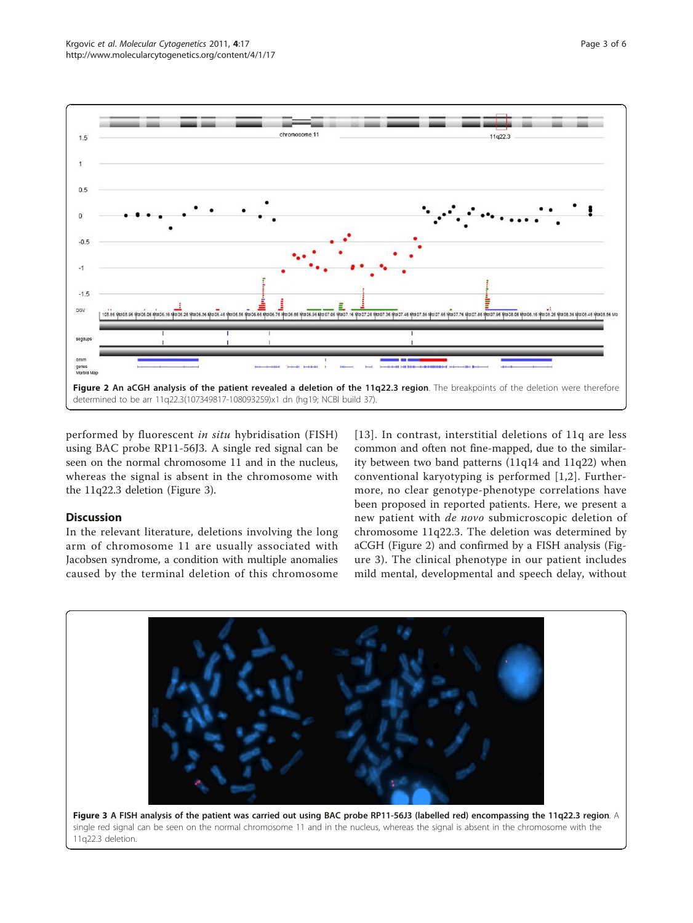<span id="page-2-0"></span>

performed by fluorescent in situ hybridisation (FISH) using BAC probe RP11-56J3. A single red signal can be seen on the normal chromosome 11 and in the nucleus, whereas the signal is absent in the chromosome with the 11q22.3 deletion (Figure 3).

# **Discussion**

In the relevant literature, deletions involving the long arm of chromosome 11 are usually associated with Jacobsen syndrome, a condition with multiple anomalies caused by the terminal deletion of this chromosome

[[13\]](#page-4-0). In contrast, interstitial deletions of 11q are less common and often not fine-mapped, due to the similarity between two band patterns (11q14 and 11q22) when conventional karyotyping is performed [\[1,2](#page-4-0)]. Furthermore, no clear genotype-phenotype correlations have been proposed in reported patients. Here, we present a new patient with de novo submicroscopic deletion of chromosome 11q22.3. The deletion was determined by aCGH (Figure 2) and confirmed by a FISH analysis (Figure 3). The clinical phenotype in our patient includes mild mental, developmental and speech delay, without

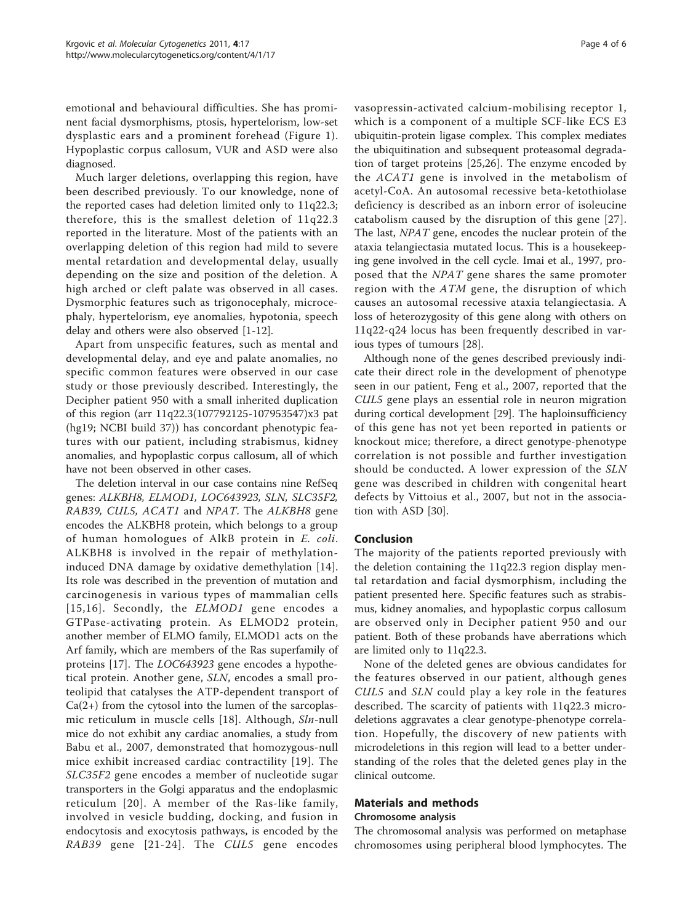emotional and behavioural difficulties. She has prominent facial dysmorphisms, ptosis, hypertelorism, low-set dysplastic ears and a prominent forehead (Figure [1\)](#page-1-0). Hypoplastic corpus callosum, VUR and ASD were also diagnosed.

Much larger deletions, overlapping this region, have been described previously. To our knowledge, none of the reported cases had deletion limited only to 11q22.3; therefore, this is the smallest deletion of 11q22.3 reported in the literature. Most of the patients with an overlapping deletion of this region had mild to severe mental retardation and developmental delay, usually depending on the size and position of the deletion. A high arched or cleft palate was observed in all cases. Dysmorphic features such as trigonocephaly, microcephaly, hypertelorism, eye anomalies, hypotonia, speech delay and others were also observed [\[1](#page-4-0)-[12\]](#page-4-0).

Apart from unspecific features, such as mental and developmental delay, and eye and palate anomalies, no specific common features were observed in our case study or those previously described. Interestingly, the Decipher patient 950 with a small inherited duplication of this region (arr 11q22.3(107792125-107953547)x3 pat (hg19; NCBI build 37)) has concordant phenotypic features with our patient, including strabismus, kidney anomalies, and hypoplastic corpus callosum, all of which have not been observed in other cases.

The deletion interval in our case contains nine RefSeq genes: ALKBH8, ELMOD1, LOC643923, SLN, SLC35F2, RAB39, CUL5, ACAT1 and NPAT. The ALKBH8 gene encodes the ALKBH8 protein, which belongs to a group of human homologues of AlkB protein in E. coli. ALKBH8 is involved in the repair of methylationinduced DNA damage by oxidative demethylation [[14](#page-4-0)]. Its role was described in the prevention of mutation and carcinogenesis in various types of mammalian cells [[15](#page-4-0),[16](#page-4-0)]. Secondly, the ELMOD1 gene encodes a GTPase-activating protein. As ELMOD2 protein, another member of ELMO family, ELMOD1 acts on the Arf family, which are members of the Ras superfamily of proteins [[17\]](#page-4-0). The LOC643923 gene encodes a hypothetical protein. Another gene, SLN, encodes a small proteolipid that catalyses the ATP-dependent transport of  $Ca(2+)$  from the cytosol into the lumen of the sarcoplasmic reticulum in muscle cells [[18\]](#page-4-0). Although, Sln-null mice do not exhibit any cardiac anomalies, a study from Babu et al., 2007, demonstrated that homozygous-null mice exhibit increased cardiac contractility [[19](#page-4-0)]. The SLC35F2 gene encodes a member of nucleotide sugar transporters in the Golgi apparatus and the endoplasmic reticulum [[20](#page-4-0)]. A member of the Ras-like family, involved in vesicle budding, docking, and fusion in endocytosis and exocytosis pathways, is encoded by the RAB39 gene [[21](#page-4-0)-[24\]](#page-4-0). The CUL5 gene encodes vasopressin-activated calcium-mobilising receptor 1, which is a component of a multiple SCF-like ECS E3 ubiquitin-protein ligase complex. This complex mediates the ubiquitination and subsequent proteasomal degradation of target proteins [[25,26\]](#page-4-0). The enzyme encoded by the ACAT1 gene is involved in the metabolism of acetyl-CoA. An autosomal recessive beta-ketothiolase deficiency is described as an inborn error of isoleucine catabolism caused by the disruption of this gene [[27](#page-5-0)]. The last, NPAT gene, encodes the nuclear protein of the ataxia telangiectasia mutated locus. This is a housekeeping gene involved in the cell cycle. Imai et al., 1997, proposed that the NPAT gene shares the same promoter region with the ATM gene, the disruption of which causes an autosomal recessive ataxia telangiectasia. A loss of heterozygosity of this gene along with others on 11q22-q24 locus has been frequently described in various types of tumours [[28](#page-5-0)].

Although none of the genes described previously indicate their direct role in the development of phenotype seen in our patient, Feng et al., 2007, reported that the CUL5 gene plays an essential role in neuron migration during cortical development [\[29](#page-5-0)]. The haploinsufficiency of this gene has not yet been reported in patients or knockout mice; therefore, a direct genotype-phenotype correlation is not possible and further investigation should be conducted. A lower expression of the SLN gene was described in children with congenital heart defects by Vittoius et al., 2007, but not in the association with ASD [[30](#page-5-0)].

### Conclusion

The majority of the patients reported previously with the deletion containing the 11q22.3 region display mental retardation and facial dysmorphism, including the patient presented here. Specific features such as strabismus, kidney anomalies, and hypoplastic corpus callosum are observed only in Decipher patient 950 and our patient. Both of these probands have aberrations which are limited only to 11q22.3.

None of the deleted genes are obvious candidates for the features observed in our patient, although genes CUL5 and SLN could play a key role in the features described. The scarcity of patients with 11q22.3 microdeletions aggravates a clear genotype-phenotype correlation. Hopefully, the discovery of new patients with microdeletions in this region will lead to a better understanding of the roles that the deleted genes play in the clinical outcome.

# Materials and methods

#### Chromosome analysis

The chromosomal analysis was performed on metaphase chromosomes using peripheral blood lymphocytes. The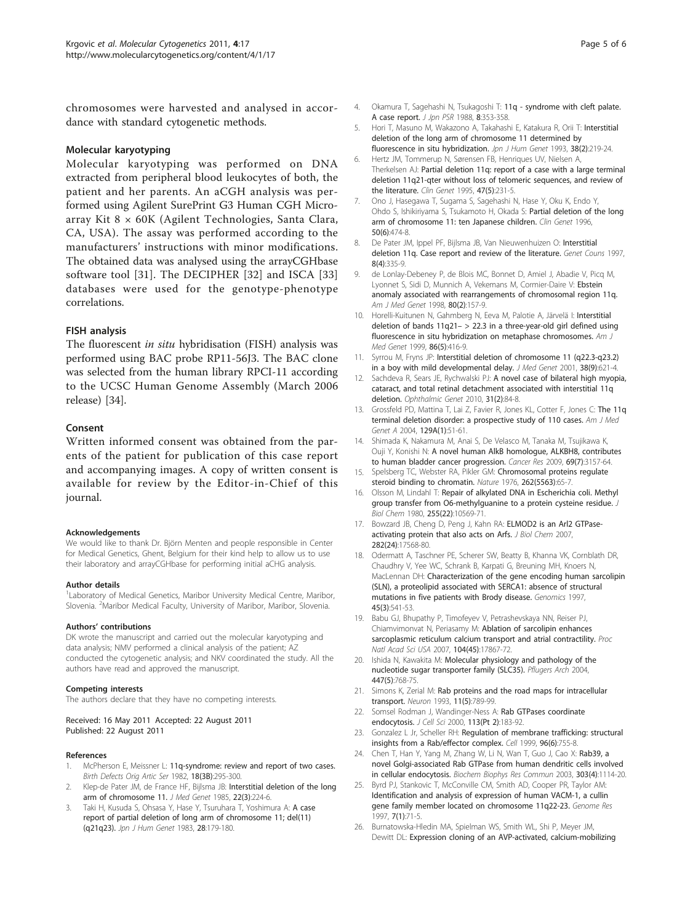<span id="page-4-0"></span>chromosomes were harvested and analysed in accordance with standard cytogenetic methods.

#### Molecular karyotyping

Molecular karyotyping was performed on DNA extracted from peripheral blood leukocytes of both, the patient and her parents. An aCGH analysis was performed using Agilent SurePrint G3 Human CGH Microarray Kit 8 × 60K (Agilent Technologies, Santa Clara, CA, USA). The assay was performed according to the manufacturers' instructions with minor modifications. The obtained data was analysed using the arrayCGHbase software tool [[31\]](#page-5-0). The DECIPHER [[32\]](#page-5-0) and ISCA [\[33](#page-5-0)] databases were used for the genotype-phenotype correlations.

### FISH analysis

The fluorescent in situ hybridisation (FISH) analysis was performed using BAC probe RP11-56J3. The BAC clone was selected from the human library RPCI-11 according to the UCSC Human Genome Assembly (March 2006 release) [[34](#page-5-0)].

#### Consent

Written informed consent was obtained from the parents of the patient for publication of this case report and accompanying images. A copy of written consent is available for review by the Editor-in-Chief of this journal.

#### Acknowledgements

We would like to thank Dr. Björn Menten and people responsible in Center for Medical Genetics, Ghent, Belgium for their kind help to allow us to use their laboratory and arrayCGHbase for performing initial aCHG analysis.

#### Author details

<sup>1</sup> Laboratory of Medical Genetics, Maribor University Medical Centre, Maribor, Slovenia. <sup>2</sup>Maribor Medical Faculty, University of Maribor, Maribor, Slovenia.

#### Authors' contributions

DK wrote the manuscript and carried out the molecular karyotyping and data analysis; NMV performed a clinical analysis of the patient; AZ conducted the cytogenetic analysis; and NKV coordinated the study. All the authors have read and approved the manuscript.

#### Competing interests

The authors declare that they have no competing interests.

#### Received: 16 May 2011 Accepted: 22 August 2011 Published: 22 August 2011

#### References

- 1. McPherson E, Meissner L: [11q-syndrome: review and report of two cases.](http://www.ncbi.nlm.nih.gov/pubmed/7139112?dopt=Abstract) Birth Defects Orig Artic Ser 1982, 18(3B):295-300.
- Klep-de Pater JM, de France HF, Bijlsma JB: [Interstitial deletion of the long](http://www.ncbi.nlm.nih.gov/pubmed/4009645?dopt=Abstract) [arm of chromosome 11.](http://www.ncbi.nlm.nih.gov/pubmed/4009645?dopt=Abstract) J Med Genet 1985, 22(3):224-6.
- 3. Taki H, Kusuda S, Ohsasa Y, Hase Y, Tsuruhara T, Yoshimura A: A case report of partial deletion of long arm of chromosome 11; del(11) (q21q23). Jpn J Hum Genet 1983, 28:179-180.
- 4. Okamura T, Sagehashi N, Tsukagoshi T: 11q syndrome with cleft palate. A case report. J Jpn PSR 1988, 8:353-358.
- 5. Hori T, Masuno M, Wakazono A, Takahashi E, Katakura R, Orii T: [Interstitial](http://www.ncbi.nlm.nih.gov/pubmed/8358045?dopt=Abstract) [deletion of the long arm of chromosome 11 determined by](http://www.ncbi.nlm.nih.gov/pubmed/8358045?dopt=Abstract) [fluorescence in situ hybridization.](http://www.ncbi.nlm.nih.gov/pubmed/8358045?dopt=Abstract) Jpn J Hum Genet 1993, 38(2):219-24.
- 6. Hertz JM, Tommerup N, Sørensen FB, Henriques UV, Nielsen A, Therkelsen AJ: [Partial deletion 11q: report of a case with a large terminal](http://www.ncbi.nlm.nih.gov/pubmed/7554347?dopt=Abstract) [deletion 11q21-qter without loss of telomeric sequences, and review of](http://www.ncbi.nlm.nih.gov/pubmed/7554347?dopt=Abstract) [the literature.](http://www.ncbi.nlm.nih.gov/pubmed/7554347?dopt=Abstract) Clin Genet 1995, 47(5):231-5.
- 7. Ono J, Hasegawa T, Sugama S, Sagehashi N, Hase Y, Oku K, Endo Y, Ohdo S, Ishikiriyama S, Tsukamoto H, Okada S: [Partial deletion of the long](http://www.ncbi.nlm.nih.gov/pubmed/9147876?dopt=Abstract) [arm of chromosome 11: ten Japanese children.](http://www.ncbi.nlm.nih.gov/pubmed/9147876?dopt=Abstract) Clin Genet 1996, 50(6):474-8.
- De Pater JM, Ippel PF, Bijlsma JB, Van Nieuwenhuizen O: [Interstitial](http://www.ncbi.nlm.nih.gov/pubmed/9457504?dopt=Abstract) [deletion 11q. Case report and review of the literature.](http://www.ncbi.nlm.nih.gov/pubmed/9457504?dopt=Abstract) Genet Couns 1997, 8(4):335-9.
- 9. de Lonlay-Debeney P, de Blois MC, Bonnet D, Amiel J, Abadie V, Picq M, Lyonnet S, Sidi D, Munnich A, Vekemans M, Cormier-Daire V: [Ebstein](http://www.ncbi.nlm.nih.gov/pubmed/9805133?dopt=Abstract) [anomaly associated with rearrangements of chromosomal region 11q.](http://www.ncbi.nlm.nih.gov/pubmed/9805133?dopt=Abstract) Am J Med Genet 1998, 80(2):157-9.
- 10. Horelli-Kuitunen N, Gahmberg N, Eeva M, Palotie A, Järvelä I: [Interstitial](http://www.ncbi.nlm.nih.gov/pubmed/10508981?dopt=Abstract) deletion of bands  $11q21 - > 22.3$  in a three-year-old girl defined using [fluorescence in situ hybridization on metaphase chromosomes.](http://www.ncbi.nlm.nih.gov/pubmed/10508981?dopt=Abstract) Am J Med Genet 1999, 86(5):416-9.
- 11. Syrrou M, Fryns JP: [Interstitial deletion of chromosome 11 \(q22.3-q23.2\)](http://www.ncbi.nlm.nih.gov/pubmed/11565549?dopt=Abstract) [in a boy with mild developmental delay.](http://www.ncbi.nlm.nih.gov/pubmed/11565549?dopt=Abstract) J Med Genet 2001, 38(9):621-4.
- 12. Sachdeva R, Sears JE, Rychwalski PJ: [A novel case of bilateral high myopia,](http://www.ncbi.nlm.nih.gov/pubmed/20450311?dopt=Abstract) [cataract, and total retinal detachment associated with interstitial 11q](http://www.ncbi.nlm.nih.gov/pubmed/20450311?dopt=Abstract) [deletion.](http://www.ncbi.nlm.nih.gov/pubmed/20450311?dopt=Abstract) Ophthalmic Genet 2010, 31(2):84-8.
- 13. Grossfeld PD, Mattina T, Lai Z, Favier R, Jones KL, Cotter F, Jones C: [The 11q](http://www.ncbi.nlm.nih.gov/pubmed/15266616?dopt=Abstract) [terminal deletion disorder: a prospective study of 110 cases.](http://www.ncbi.nlm.nih.gov/pubmed/15266616?dopt=Abstract) Am J Med Genet A 2004, 129A(1):51-61.
- 14. Shimada K, Nakamura M, Anai S, De Velasco M, Tanaka M, Tsujikawa K, Ouji Y, Konishi N: [A novel human AlkB homologue, ALKBH8, contributes](http://www.ncbi.nlm.nih.gov/pubmed/19293182?dopt=Abstract) [to human bladder cancer progression.](http://www.ncbi.nlm.nih.gov/pubmed/19293182?dopt=Abstract) Cancer Res 2009, 69(7):3157-64.
- 15. Spelsberg TC, Webster RA, Pikler GM: [Chromosomal proteins regulate](http://www.ncbi.nlm.nih.gov/pubmed/180427?dopt=Abstract) [steroid binding to chromatin.](http://www.ncbi.nlm.nih.gov/pubmed/180427?dopt=Abstract) Nature 1976, 262(5563):65-7.
- 16. Olsson M, Lindahl T: [Repair of alkylated DNA in Escherichia coli. Methyl](http://www.ncbi.nlm.nih.gov/pubmed/7000780?dopt=Abstract) [group transfer from O6-methylguanine to a protein cysteine residue.](http://www.ncbi.nlm.nih.gov/pubmed/7000780?dopt=Abstract) J Biol Chem 1980, 255(22):10569-71.
- 17. Bowzard JB, Cheng D, Peng J, Kahn RA: [ELMOD2 is an Arl2 GTPase](http://www.ncbi.nlm.nih.gov/pubmed/17452337?dopt=Abstract)[activating protein that also acts on Arfs.](http://www.ncbi.nlm.nih.gov/pubmed/17452337?dopt=Abstract) J Biol Chem 2007, 282(24):17568-80.
- 18. Odermatt A, Taschner PE, Scherer SW, Beatty B, Khanna VK, Cornblath DR, Chaudhry V, Yee WC, Schrank B, Karpati G, Breuning MH, Knoers N, MacLennan DH: [Characterization of the gene encoding human sarcolipin](http://www.ncbi.nlm.nih.gov/pubmed/9367679?dopt=Abstract) [\(SLN\), a proteolipid associated with SERCA1: absence of structural](http://www.ncbi.nlm.nih.gov/pubmed/9367679?dopt=Abstract) [mutations in five patients with Brody disease.](http://www.ncbi.nlm.nih.gov/pubmed/9367679?dopt=Abstract) Genomics 1997, 45(3):541-53.
- 19. Babu GJ, Bhupathy P, Timofeyev V, Petrashevskaya NN, Reiser PJ, Chiamvimonvat N, Periasamy M: [Ablation of sarcolipin enhances](http://www.ncbi.nlm.nih.gov/pubmed/17971438?dopt=Abstract) [sarcoplasmic reticulum calcium transport and atrial contractility.](http://www.ncbi.nlm.nih.gov/pubmed/17971438?dopt=Abstract) Proc Natl Acad Sci USA 2007, 104(45):17867-72.
- 20. Ishida N, Kawakita M: [Molecular physiology and pathology of the](http://www.ncbi.nlm.nih.gov/pubmed/12759756?dopt=Abstract) [nucleotide sugar transporter family \(SLC35\).](http://www.ncbi.nlm.nih.gov/pubmed/12759756?dopt=Abstract) Pflugers Arch 2004, 447(5):768-75.
- 21. Simons K, Zerial M: [Rab proteins and the road maps for intracellular](http://www.ncbi.nlm.nih.gov/pubmed/8240804?dopt=Abstract) [transport.](http://www.ncbi.nlm.nih.gov/pubmed/8240804?dopt=Abstract) Neuron 1993, 11(5):789-99.
- 22. Somsel Rodman J, Wandinger-Ness A: [Rab GTPases coordinate](http://www.ncbi.nlm.nih.gov/pubmed/10633070?dopt=Abstract) [endocytosis.](http://www.ncbi.nlm.nih.gov/pubmed/10633070?dopt=Abstract) J Cell Sci 2000, 113(Pt 2):183-92.
- 23. Gonzalez L Jr, Scheller RH: [Regulation of membrane trafficking: structural](http://www.ncbi.nlm.nih.gov/pubmed/10102263?dopt=Abstract) [insights from a Rab/effector complex.](http://www.ncbi.nlm.nih.gov/pubmed/10102263?dopt=Abstract) Cell 1999, 96(6):755-8.
- 24. Chen T, Han Y, Yang M, Zhang W, Li N, Wan T, Guo J, Cao X: [Rab39, a](http://www.ncbi.nlm.nih.gov/pubmed/12684051?dopt=Abstract) [novel Golgi-associated Rab GTPase from human dendritic cells involved](http://www.ncbi.nlm.nih.gov/pubmed/12684051?dopt=Abstract) [in cellular endocytosis.](http://www.ncbi.nlm.nih.gov/pubmed/12684051?dopt=Abstract) Biochem Biophys Res Commun 2003, 303(4):1114-20.
- 25. Byrd PJ, Stankovic T, McConville CM, Smith AD, Cooper PR, Taylor AM: [Identification and analysis of expression of human VACM-1, a cullin](http://www.ncbi.nlm.nih.gov/pubmed/9037604?dopt=Abstract) [gene family member located on chromosome 11q22-23.](http://www.ncbi.nlm.nih.gov/pubmed/9037604?dopt=Abstract) Genome Res 1997, 7(1):71-5.
- 26. Burnatowska-Hledin MA, Spielman WS, Smith WL, Shi P, Meyer JM, Dewitt DL: [Expression cloning of an AVP-activated, calcium-mobilizing](http://www.ncbi.nlm.nih.gov/pubmed/7611460?dopt=Abstract)